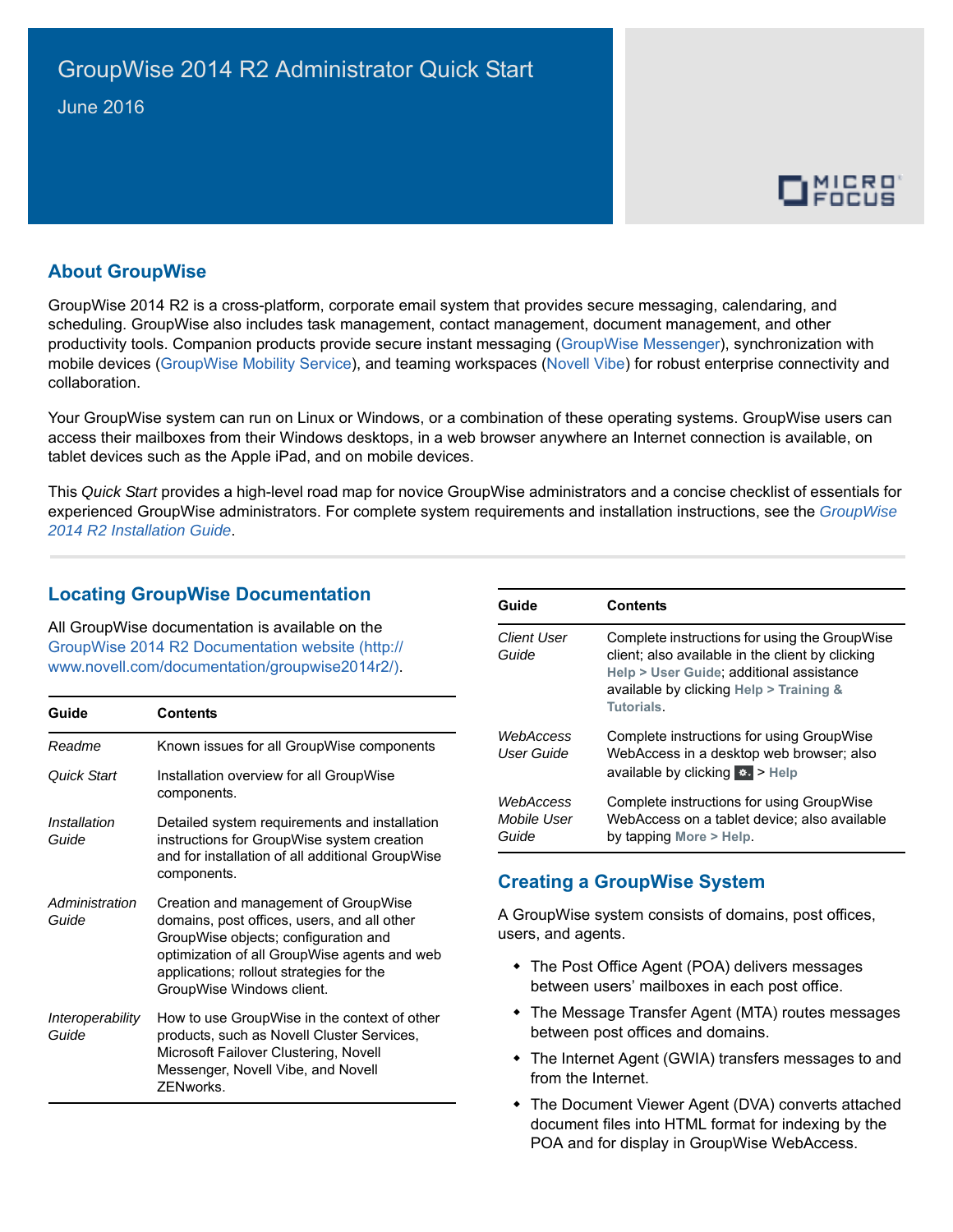

## **About GroupWise**

GroupWise 2014 R2 is a cross-platform, corporate email system that provides secure messaging, calendaring, and scheduling. GroupWise also includes task management, contact management, document management, and other productivity tools. Companion products provide secure instant messaging ([GroupWise Messenger\)](http://www.novell.com/documentation/novell_messenger22/), synchronization with mobile devices [\(GroupWise Mobility Service\)](http://www.novell.com/documentation/groupwisemobility2/), and teaming workspaces [\(Novell Vibe\)](http://www.novell.com/documentation/vibe34/) for robust enterprise connectivity and collaboration.

Your GroupWise system can run on Linux or Windows, or a combination of these operating systems. GroupWise users can access their mailboxes from their Windows desktops, in a web browser anywhere an Internet connection is available, on tablet devices such as the Apple iPad, and on mobile devices.

This *Quick Start* provides a high-level road map for novice GroupWise administrators and a concise checklist of essentials for experienced GroupWise administrators. For complete system requirements and installation instructions, see the *[GroupWise](https://www.novell.com/documentation/groupwise2014r2/pdfdoc/gw2014_guide_install/gw2014_guide_install.pdf#instfront)  2014 R2 Installation Guide*.

# **Locating GroupWise Documentation**

All GroupWise documentation is available on the [GroupWise 2014 R2 Documentation website](http://www.novell.com/documentation/groupwise2014r2/) (http:// www.novell.com/documentation/groupwise2014r2/).

| Guide                     | <b>Contents</b>                                                                                                                                                                                                                                      |
|---------------------------|------------------------------------------------------------------------------------------------------------------------------------------------------------------------------------------------------------------------------------------------------|
| Readme                    | Known issues for all GroupWise components                                                                                                                                                                                                            |
| Quick Start               | Installation overview for all GroupWise<br>components.                                                                                                                                                                                               |
| Installation<br>Guide     | Detailed system requirements and installation<br>instructions for GroupWise system creation<br>and for installation of all additional GroupWise<br>components.                                                                                       |
| Administration<br>Guide   | Creation and management of GroupWise<br>domains, post offices, users, and all other<br>GroupWise objects; configuration and<br>optimization of all GroupWise agents and web<br>applications; rollout strategies for the<br>GroupWise Windows client. |
| Interoperability<br>Guide | How to use GroupWise in the context of other<br>products, such as Novell Cluster Services,<br>Microsoft Failover Clustering, Novell<br>Messenger, Novell Vibe, and Novell<br><b>7FNworks</b>                                                         |

| Guide                             | <b>Contents</b>                                                                                                                                                                                        |
|-----------------------------------|--------------------------------------------------------------------------------------------------------------------------------------------------------------------------------------------------------|
| Client User<br>Guide              | Complete instructions for using the GroupWise<br>client; also available in the client by clicking<br>Help > User Guide; additional assistance<br>available by clicking Help > Training &<br>Tutorials. |
| WebAccess<br>User Guide           | Complete instructions for using GroupWise<br>WebAccess in a desktop web browser; also<br>available by clicking $\mathbf{X}$ > Help                                                                     |
| WebAccess<br>Mobile User<br>Guide | Complete instructions for using GroupWise<br>WebAccess on a tablet device; also available<br>by tapping More > Help.                                                                                   |

# **Creating a GroupWise System**

A GroupWise system consists of domains, post offices, users, and agents.

- The Post Office Agent (POA) delivers messages between users' mailboxes in each post office.
- The Message Transfer Agent (MTA) routes messages between post offices and domains.
- The Internet Agent (GWIA) transfers messages to and from the Internet.
- The Document Viewer Agent (DVA) converts attached document files into HTML format for indexing by the POA and for display in GroupWise WebAccess.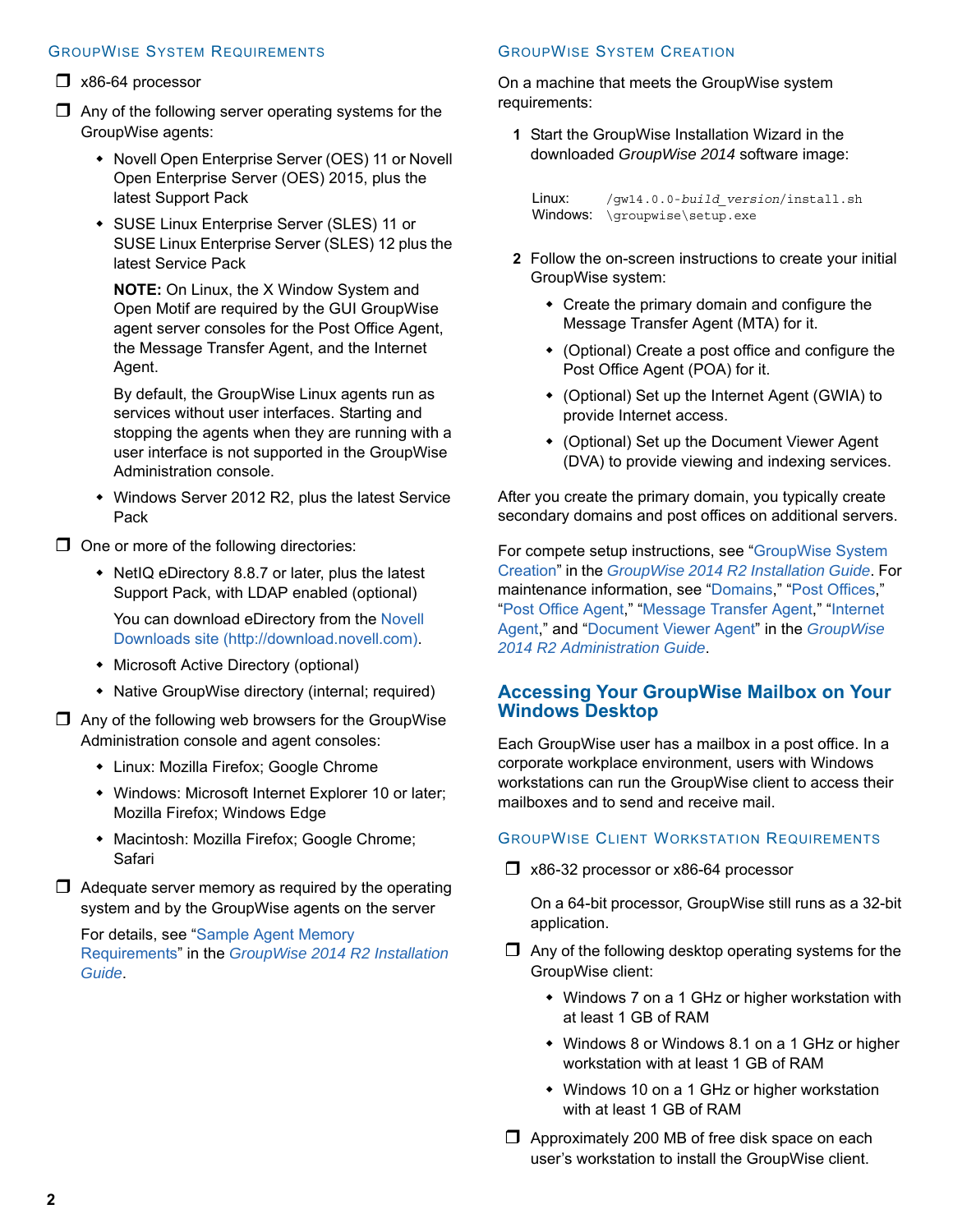#### <span id="page-1-1"></span>GROUPWISE SYSTEM REQUIREMENTS

 $\Box$  x86-64 processor

 $\Box$  Any of the following server operating systems for the GroupWise agents:

- Novell Open Enterprise Server (OES) 11 or Novell Open Enterprise Server (OES) 2015, plus the latest Support Pack
- SUSE Linux Enterprise Server (SLES) 11 or SUSE Linux Enterprise Server (SLES) 12 plus the latest Service Pack

**NOTE:** On Linux, the X Window System and Open Motif are required by the GUI GroupWise agent server consoles for the Post Office Agent, the Message Transfer Agent, and the Internet Agent.

By default, the GroupWise Linux agents run as services without user interfaces. Starting and stopping the agents when they are running with a user interface is not supported in the GroupWise Administration console.

 Windows Server 2012 R2, plus the latest Service Pack

 $\Box$  One or more of the following directories:

• NetIQ eDirectory 8.8.7 or later, plus the latest Support Pack, with LDAP enabled (optional)

You can download eDirectory from the [Novell](http://download.novell.com)  [Downloads site](http://download.novell.com) (http://download.novell.com).

- Microsoft Active Directory (optional)
- Native GroupWise directory (internal; required)

 $\Box$  Any of the following web browsers for the GroupWise Administration console and agent consoles:

- Linux: Mozilla Firefox; Google Chrome
- Windows: Microsoft Internet Explorer 10 or later; Mozilla Firefox; Windows Edge
- Macintosh: Mozilla Firefox; Google Chrome; Safari
- $\Box$  Adequate server memory as required by the operating system and by the GroupWise agents on the server

For details, see ["Sample Agent Memory](https://www.novell.com/documentation/groupwise2014r2/pdfdoc/gw2014_guide_install/gw2014_guide_install.pdf#instreqadminagentmemory)  Requirements" in the *[GroupWise 2014 R2 Installation](https://www.novell.com/documentation/groupwise2014r2/pdfdoc/gw2014_guide_install/gw2014_guide_install.pdf#instfront)  Guide*.

#### <span id="page-1-0"></span>GROUPWISE SYSTEM CREATION

On a machine that meets the GroupWise system requirements:

**1** Start the GroupWise Installation Wizard in the downloaded *GroupWise 2014* software image:

Linux: Windows: \groupwise\setup.exe /gw14.0.0-*build\_version*/install.sh

- **2** Follow the on-screen instructions to create your initial GroupWise system:
	- Create the primary domain and configure the Message Transfer Agent (MTA) for it.
	- (Optional) Create a post office and configure the Post Office Agent (POA) for it.
	- (Optional) Set up the Internet Agent (GWIA) to provide Internet access.
	- (Optional) Set up the Document Viewer Agent (DVA) to provide viewing and indexing services.

After you create the primary domain, you typically create secondary domains and post offices on additional servers.

For compete setup instructions, see ["GroupWise System](https://www.novell.com/documentation/groupwise2014r2/pdfdoc/gw2014_guide_install/gw2014_guide_install.pdf#instcreatesystem)  Creation" in the *[GroupWise 2014 R2 Installation Guide](https://www.novell.com/documentation/groupwise2014r2/pdfdoc/gw2014_guide_install/gw2014_guide_install.pdf#instfront)*. For maintenance information, see ["Domains,](https://www.novell.com/documentation/groupwise2014r2/pdfdoc/gw2014_guide_admin/gw2014_guide_admin.pdf#admindomains)" "[Post Offices,](https://www.novell.com/documentation/groupwise2014r2/pdfdoc/gw2014_guide_admin/gw2014_guide_admin.pdf#adminpostoffices)" ["Post Office Agent,](https://www.novell.com/documentation/groupwise2014r2/pdfdoc/gw2014_guide_admin/gw2014_guide_admin.pdf#adminpoa)" ["Message Transfer Agent](https://www.novell.com/documentation/groupwise2014r2/pdfdoc/gw2014_guide_admin/gw2014_guide_admin.pdf#adminmta)," ["Internet](https://www.novell.com/documentation/groupwise2014r2/pdfdoc/gw2014_guide_admin/gw2014_guide_admin.pdf#admingwia)  Agent," and "[Document Viewer Agent](https://www.novell.com/documentation/groupwise2014r2/pdfdoc/gw2014_guide_admin/gw2014_guide_admin.pdf#admindva)" in the *[GroupWise](https://www.novell.com/documentation/groupwise2014r2/pdfdoc/gw2014_guide_admin/gw2014_guide_admin.pdf#adminfront)  2014 R2 Administration Guide*.

#### **Accessing Your GroupWise Mailbox on Your Windows Desktop**

Each GroupWise user has a mailbox in a post office. In a corporate workplace environment, users with Windows workstations can run the GroupWise client to access their mailboxes and to send and receive mail.

#### GROUPWISE CLIENT WORKSTATION REQUIREMENTS

x86-32 processor or x86-64 processor

On a 64-bit processor, GroupWise still runs as a 32-bit application.

- $\Box$  Any of the following desktop operating systems for the GroupWise client:
	- Windows 7 on a 1 GHz or higher workstation with at least 1 GB of RAM
	- Windows 8 or Windows 8.1 on a 1 GHz or higher workstation with at least 1 GB of RAM
	- Windows 10 on a 1 GHz or higher workstation with at least 1 GB of RAM
- $\Box$  Approximately 200 MB of free disk space on each user's workstation to install the GroupWise client.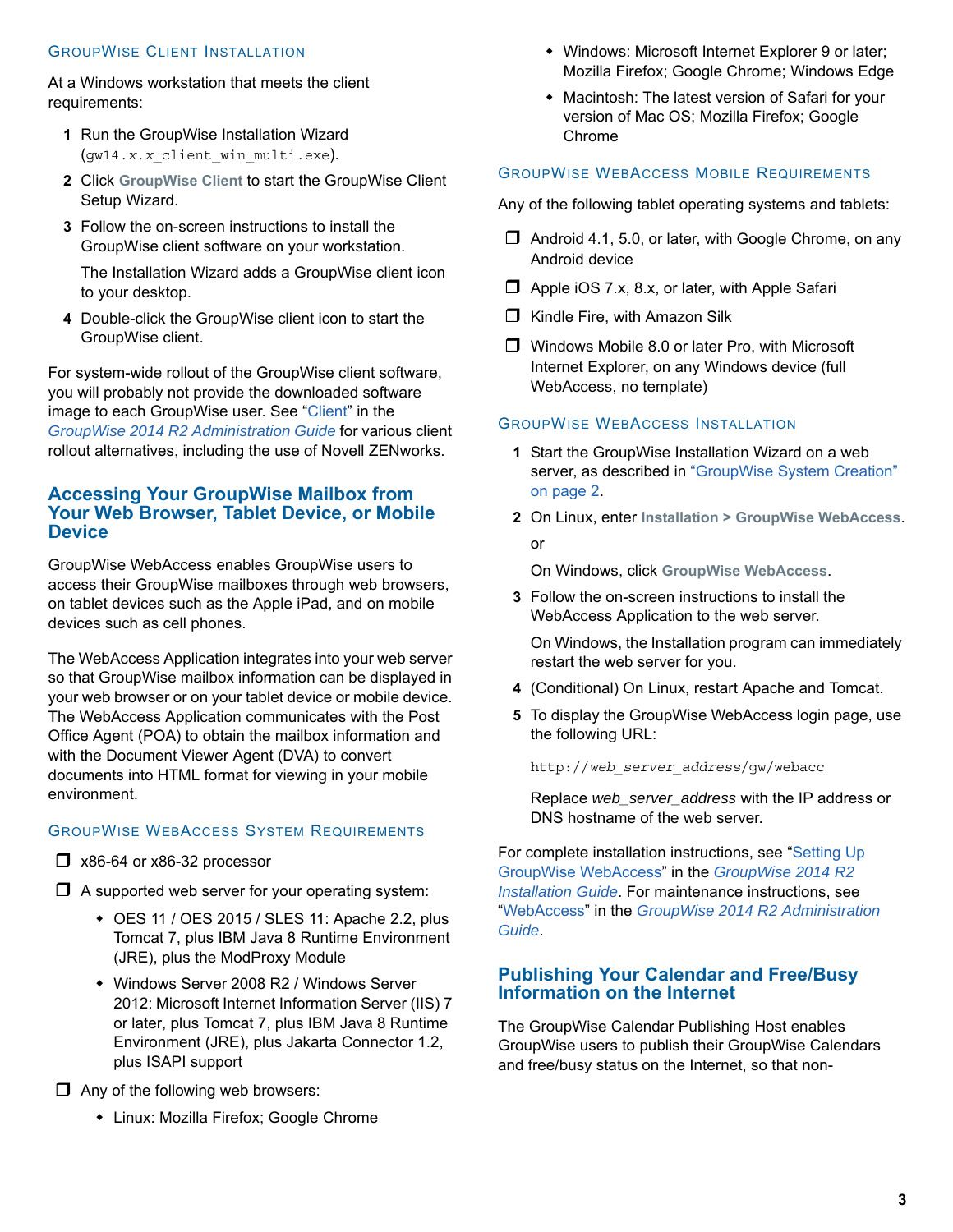### GROUPWISE CLIENT INSTALLATION

At a Windows workstation that meets the client requirements:

- **1** Run the GroupWise Installation Wizard (gw14.*x*.*x*\_client\_win\_multi.exe).
- **2** Click **GroupWise Client** to start the GroupWise Client Setup Wizard.
- **3** Follow the on-screen instructions to install the GroupWise client software on your workstation.

The Installation Wizard adds a GroupWise client icon to your desktop.

**4** Double-click the GroupWise client icon to start the GroupWise client.

For system-wide rollout of the GroupWise client software, you will probably not provide the downloaded software image to each GroupWise user. See "[Client](https://www.novell.com/documentation/groupwise2014r2/pdfdoc/gw2014_guide_admin/gw2014_guide_admin.pdf#adminclient)" in the *[GroupWise 2014 R2 Administration Guide](https://www.novell.com/documentation/groupwise2014r2/pdfdoc/gw2014_guide_admin/gw2014_guide_admin.pdf#adminfront)* for various client rollout alternatives, including the use of Novell ZENworks.

## **Accessing Your GroupWise Mailbox from Your Web Browser, Tablet Device, or Mobile Device**

GroupWise WebAccess enables GroupWise users to access their GroupWise mailboxes through web browsers, on tablet devices such as the Apple iPad, and on mobile devices such as cell phones.

The WebAccess Application integrates into your web server so that GroupWise mailbox information can be displayed in your web browser or on your tablet device or mobile device. The WebAccess Application communicates with the Post Office Agent (POA) to obtain the mailbox information and with the Document Viewer Agent (DVA) to convert documents into HTML format for viewing in your mobile environment.

## <span id="page-2-0"></span>GROUPWISE WEBACCESS SYSTEM REQUIREMENTS

- $\Box$  x86-64 or x86-32 processor
- $\Box$  A supported web server for your operating system:
	- OES 11 / OES 2015 / SLES 11: Apache 2.2, plus Tomcat 7, plus IBM Java 8 Runtime Environment (JRE), plus the ModProxy Module
	- Windows Server 2008 R2 / Windows Server 2012: Microsoft Internet Information Server (IIS) 7 or later, plus Tomcat 7, plus IBM Java 8 Runtime Environment (JRE), plus Jakarta Connector 1.2, plus ISAPI support
- $\Box$  Any of the following web browsers:
	- Linux: Mozilla Firefox; Google Chrome
- Windows: Microsoft Internet Explorer 9 or later; Mozilla Firefox; Google Chrome; Windows Edge
- Macintosh: The latest version of Safari for your version of Mac OS; Mozilla Firefox; Google Chrome

## GROUPWISE WEBACCESS MOBILE REQUIREMENTS

Any of the following tablet operating systems and tablets:

- $\Box$  Android 4.1, 5.0, or later, with Google Chrome, on any Android device
- $\Box$  Apple iOS 7.x, 8.x, or later, with Apple Safari
- $\Box$  Kindle Fire, with Amazon Silk
- Windows Mobile 8.0 or later Pro, with Microsoft Internet Explorer, on any Windows device (full WebAccess, no template)

# GROUPWISE WEBACCESS INSTALLATION

- **1** Start the GroupWise Installation Wizard on a web server, as described in ["GroupWise System Creation"](#page-1-0)  [on page 2](#page-1-0).
- **2** On Linux, enter **Installation > GroupWise WebAccess**. or

On Windows, click **GroupWise WebAccess**.

**3** Follow the on-screen instructions to install the WebAccess Application to the web server.

On Windows, the Installation program can immediately restart the web server for you.

- **4** (Conditional) On Linux, restart Apache and Tomcat.
- **5** To display the GroupWise WebAccess login page, use the following URL:

http://*web\_server\_address*/gw/webacc

Replace *web\_server\_address* with the IP address or DNS hostname of the web server.

For complete installation instructions, see ["Setting Up](https://www.novell.com/documentation/groupwise2014r2/pdfdoc/gw2014_guide_install/gw2014_guide_install.pdf#installwebaccess)  GroupWise WebAccess" in the *[GroupWise 2014 R2](https://www.novell.com/documentation/groupwise2014r2/pdfdoc/gw2014_guide_install/gw2014_guide_install.pdf#instfront)  Installation Guide*. For maintenance instructions, see ["WebAccess"](https://www.novell.com/documentation/groupwise2014r2/pdfdoc/gw2014_guide_admin/gw2014_guide_admin.pdf#adminwebaccess) in the *[GroupWise 2014 R2 Administration](https://www.novell.com/documentation/groupwise2014r2/pdfdoc/gw2014_guide_admin/gw2014_guide_admin.pdf#adminfront)  Guide*.

## **Publishing Your Calendar and Free/Busy Information on the Internet**

The GroupWise Calendar Publishing Host enables GroupWise users to publish their GroupWise Calendars and free/busy status on the Internet, so that non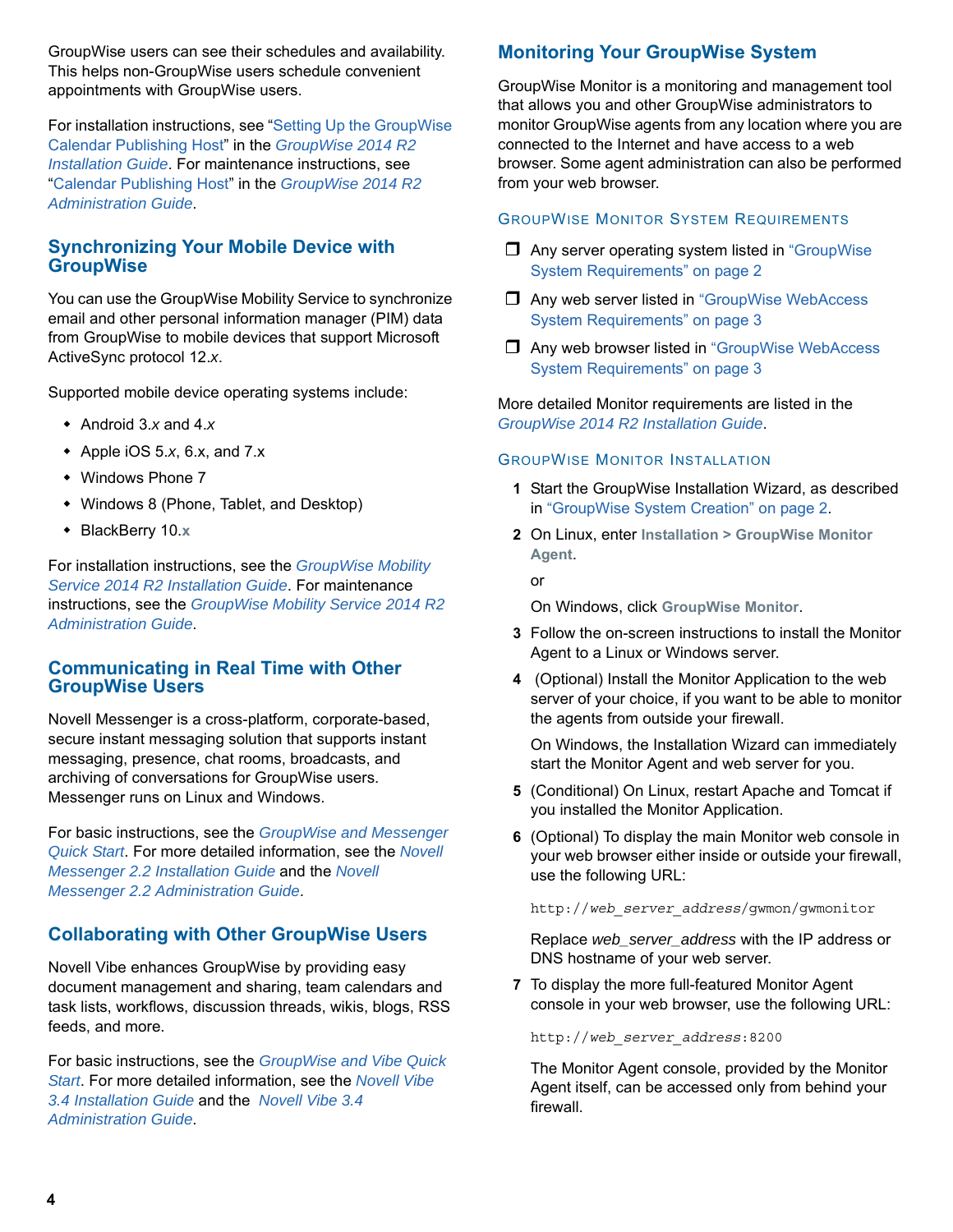GroupWise users can see their schedules and availability. This helps non-GroupWise users schedule convenient appointments with GroupWise users.

For installation instructions, see "[Setting Up the GroupWise](https://www.novell.com/documentation/groupwise2014r2/pdfdoc/gw2014_guide_install/gw2014_guide_install.pdf#installcalpubhost)  Calendar Publishing Host" in the *[GroupWise 2014 R2](https://www.novell.com/documentation/groupwise2014r2/pdfdoc/gw2014_guide_install/gw2014_guide_install.pdf#instfront)  Installation Guide*. For maintenance instructions, see ["Calendar Publishing Host](https://www.novell.com/documentation/groupwise2014r2/pdfdoc/gw2014_guide_admin/gw2014_guide_admin.pdf#admincalpub)" in the *[GroupWise 2014 R2](https://www.novell.com/documentation/groupwise2014r2/pdfdoc/gw2014_guide_admin/gw2014_guide_admin.pdf#adminfront)  Administration Guide*.

### **Synchronizing Your Mobile Device with GroupWise**

You can use the GroupWise Mobility Service to synchronize email and other personal information manager (PIM) data from GroupWise to mobile devices that support Microsoft ActiveSync protocol 12.*x*.

Supported mobile device operating systems include:

- Android 3.*x* and 4.*x*
- Apple iOS 5.*x*, 6.x, and 7.x
- Windows Phone 7
- Windows 8 (Phone, Tablet, and Desktop)
- BlackBerry 10.**x**

For installation instructions, see the *[GroupWise Mobility](https://www.novell.com/documentation/groupwisemobility2014r2/pdfdoc/gwmob2014r2_guide_install/gwmob2014r2_guide_install.pdf#instfront)  [Service 2014 R2 Installation Guide](https://www.novell.com/documentation/groupwisemobility2014r2/pdfdoc/gwmob2014r2_guide_install/gwmob2014r2_guide_install.pdf#instfront)*. For maintenance instructions, see the *[GroupWise Mobility Service 2014 R2](https://www.novell.com/documentation/groupwisemobility2014r2/pdfdoc/gwmob2014r2_guide_admin/gwmob2014r2_guide_admin.pdf#adminfront)  [Administration Guide](https://www.novell.com/documentation/groupwisemobility2014r2/pdfdoc/gwmob2014r2_guide_admin/gwmob2014r2_guide_admin.pdf#adminfront)*.

#### **Communicating in Real Time with Other GroupWise Users**

Novell Messenger is a cross-platform, corporate-based, secure instant messaging solution that supports instant messaging, presence, chat rooms, broadcasts, and archiving of conversations for GroupWise users. Messenger runs on Linux and Windows.

For basic instructions, see the *[GroupWise and Messenger](https://www.novell.com/documentation/groupwise2014/gw2014_qs_messenger/data/gw2014_qs_messenger.html)  [Quick Start](https://www.novell.com/documentation/groupwise2014/gw2014_qs_messenger/data/gw2014_qs_messenger.html)*. For more detailed information, see the *[Novell](https://www.novell.com/documentation/novell_messenger22/pdfdoc/messenger22_install/messenger22_install.pdf#A20gkue)  [Messenger 2.2 Installation Guide](https://www.novell.com/documentation/novell_messenger22/pdfdoc/messenger22_install/messenger22_install.pdf#A20gkue)* and the *[Novell](https://www.novell.com/documentation/novell_messenger22/pdfdoc/messenger22_admin/messenger22_admin.pdf#Front)  [Messenger 2.2 Administration Guide](https://www.novell.com/documentation/novell_messenger22/pdfdoc/messenger22_admin/messenger22_admin.pdf#Front)*.

## **Collaborating with Other GroupWise Users**

Novell Vibe enhances GroupWise by providing easy document management and sharing, team calendars and task lists, workflows, discussion threads, wikis, blogs, RSS feeds, and more.

For basic instructions, see the *[GroupWise and Vibe Quick](https://www.novell.com/documentation/groupwise2014/gw2014_qs_vibe/data/gw2014_qs_vibe.html)  [Start](https://www.novell.com/documentation/groupwise2014/gw2014_qs_vibe/data/gw2014_qs_vibe.html)*. For more detailed information, see the *[Novell Vibe](https://www.novell.com/documentation/vibe34/pdfdoc/vibe34_inst/vibe34_inst.pdf#bookinfo)  [3.4 Installation Guide](https://www.novell.com/documentation/vibe34/pdfdoc/vibe34_inst/vibe34_inst.pdf#bookinfo)* and the *[Novell Vibe 3.4](https://www.novell.com/documentation/vibe34/pdfdoc/vibe34_admin/vibe34_admin.pdf#bookinfo)  [Administration Guide](https://www.novell.com/documentation/vibe34/pdfdoc/vibe34_admin/vibe34_admin.pdf#bookinfo)*.

## **Monitoring Your GroupWise System**

GroupWise Monitor is a monitoring and management tool that allows you and other GroupWise administrators to monitor GroupWise agents from any location where you are connected to the Internet and have access to a web browser. Some agent administration can also be performed from your web browser.

#### GROUPWISE MONITOR SYSTEM REQUIREMENTS

- $\Box$  Any server operating system listed in "GroupWise" [System Requirements" on page 2](#page-1-1)
- □ Any web server listed in "GroupWise WebAccess [System Requirements" on page 3](#page-2-0)
- Any web browser listed in ["GroupWise WebAccess](#page-2-0)  [System Requirements" on page 3](#page-2-0)

More detailed Monitor requirements are listed in the *[GroupWise 2014 R2 Installation Guide](https://www.novell.com/documentation/groupwise2014r2/pdfdoc/gw2014_guide_install/gw2014_guide_install.pdf#instfront)*.

#### GROUPWISE MONITOR INSTALLATION

- **1** Start the GroupWise Installation Wizard, as described in ["GroupWise System Creation" on page 2.](#page-1-0)
- **2** On Linux, enter **Installation > GroupWise Monitor Agent**.

or

On Windows, click **GroupWise Monitor**.

- **3** Follow the on-screen instructions to install the Monitor Agent to a Linux or Windows server.
- **4** (Optional) Install the Monitor Application to the web server of your choice, if you want to be able to monitor the agents from outside your firewall.

On Windows, the Installation Wizard can immediately start the Monitor Agent and web server for you.

- **5** (Conditional) On Linux, restart Apache and Tomcat if you installed the Monitor Application.
- **6** (Optional) To display the main Monitor web console in your web browser either inside or outside your firewall, use the following URL:

http://*web\_server\_address*/gwmon/gwmonitor

Replace *web\_server\_address* with the IP address or DNS hostname of your web server.

**7** To display the more full-featured Monitor Agent console in your web browser, use the following URL:

http://*web\_server\_address*:8200

The Monitor Agent console, provided by the Monitor Agent itself, can be accessed only from behind your firewall.